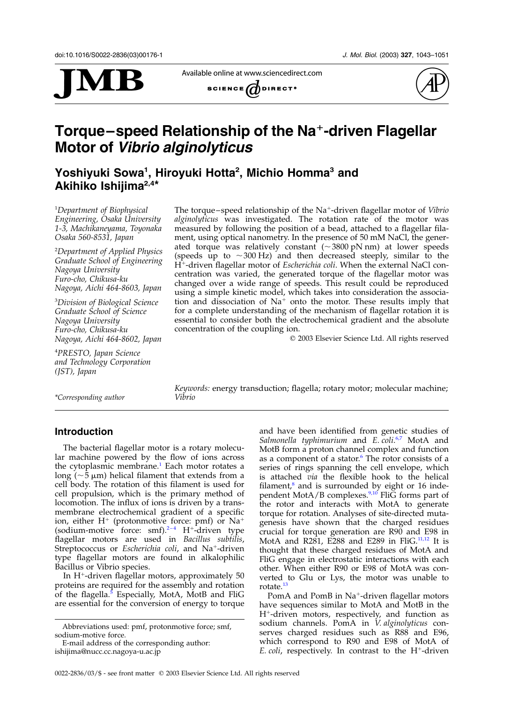

Available online at www.sciencedirect.com SCIENCE  $\overline{d}$  DIRECT<sup>.</sup>



# Torque–speed Relationship of the Na<sup>+</sup>-driven Flagellar Motor of Vibrio alginolyticus

Yoshiyuki Sowa<sup>1</sup>, Hiroyuki Hotta<sup>2</sup>, Michio Homma<sup>3</sup> and Akihiko Ishijima2,4\*

1 Department of Biophysical Engineering, Osaka University 1-3, Machikaneyama, Toyonaka Osaka 560-8531, Japan

2 Department of Applied Physics Graduate School of Engineering Nagoya University Furo-cho, Chikusa-ku Nagoya, Aichi 464-8603, Japan

3 Division of Biological Science Graduate School of Science Nagoya University Furo-cho, Chikusa-ku Nagoya, Aichi 464-8602, Japan

4 PRESTO, Japan Science and Technology Corporation (JST), Japan

The torque–speed relationship of the Na<sup>+</sup>-driven flagellar motor of *Vibrio* alginolyticus was investigated. The rotation rate of the motor was measured by following the position of a bead, attached to a flagellar filament, using optical nanometry. In the presence of 50 mM NaCl, the generated torque was relatively constant  $({\sim}3800 \text{ pN nm})$  at lower speeds (speeds up to  $\sim$  300 Hz) and then decreased steeply, similar to the H<sup>+</sup>-driven flagellar motor of *Escherichia coli*. When the external NaCl concentration was varied, the generated torque of the flagellar motor was changed over a wide range of speeds. This result could be reproduced using a simple kinetic model, which takes into consideration the association and dissociation of  $Na<sup>+</sup>$  onto the motor. These results imply that for a complete understanding of the mechanism of flagellar rotation it is essential to consider both the electrochemical gradient and the absolute concentration of the coupling ion.

 $©$  2003 Elsevier Science Ltd. All rights reserved

\*Corresponding author

Keywords: energy transduction; flagella; rotary motor; molecular machine;

# Introduction

The bacterial flagellar motor is a rotary molecular machine powered by the flow of ions across the cytoplasmic membrane.<sup>[1](#page-7-0)</sup> Each motor rotates a long ( $\sim$ 5  $\mu$ m) helical filament that extends from a cell body. The rotation of this filament is used for cell propulsion, which is the primary method of locomotion. The influx of ions is driven by a transmembrane electrochemical gradient of a specific ion, either  $H^+$  (protonmotive force: pmf) or  $Na^+$ (sodium-motive force: smf). $2-4$  H<sup>+</sup>-driven type flagellar motors are used in Bacillus subtilis, Streptococcus or Escherichia coli, and Na<sup>+</sup>-driven type flagellar motors are found in alkalophilic Bacillus or Vibrio species.

In  $H^+$ -driven flagellar motors, approximately 50 proteins are required for the assembly and rotation of the flagella.<sup>[5](#page-7-0)</sup> Especially, MotA, MotB and FliG are essential for the conversion of energy to torque

Abbreviations used: pmf, protonmotive force; smf, sodium-motive force.

E-mail address of the corresponding author: ishijima@nucc.cc.nagoya-u.ac.jp

and have been identified from genetic studies of Salmonella typhimurium and E. coli.<sup>[6,7](#page-7-0)</sup> MotA and MotB form a proton channel complex and function as a component of a stator. $6$  The rotor consists of a series of rings spanning the cell envelope, which is attached via the flexible hook to the helical filament, $^8$  $^8$  and is surrounded by eight or 16 inde-pendent MotA/B complexes.<sup>[9,10](#page-7-0)</sup> FliG forms part of the rotor and interacts with MotA to generate torque for rotation. Analyses of site-directed mutagenesis have shown that the charged residues crucial for torque generation are R90 and E98 in MotA and R281, E288 and E289 in FliG.<sup>[11,12](#page-7-0)</sup> It is thought that these charged residues of MotA and FliG engage in electrostatic interactions with each other. When either R90 or E98 of MotA was converted to Glu or Lys, the motor was unable to rotate.<sup>[13](#page-7-0)</sup>

PomA and PomB in Na<sup>+</sup>-driven flagellar motors have sequences similar to MotA and MotB in the H<sup>+</sup>-driven motors, respectively, and function as sodium channels. PomA in *V. alginolyticus* conserves charged residues such as R88 and E96, which correspond to R90 and E98 of MotA of E. coli, respectively. In contrast to the  $H^+$ -driven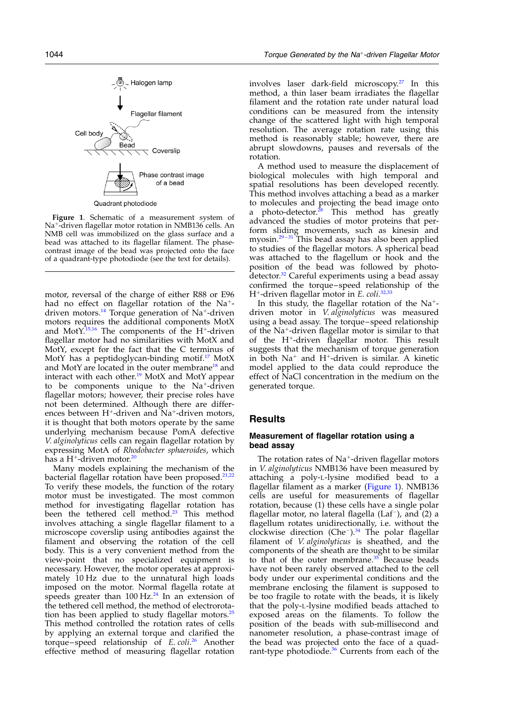<span id="page-1-0"></span>

Figure 1. Schematic of a measurement system of Na<sup>+</sup>-driven flagellar motor rotation in NMB136 cells. An NMB cell was immobilized on the glass surface and a bead was attached to its flagellar filament. The phasecontrast image of the bead was projected onto the face of a quadrant-type photodiode (see the text for details).

motor, reversal of the charge of either R88 or E96 had no effect on flagellar rotation of the  $Na^+$ -driven motors.<sup>[14](#page-7-0)</sup> Torque generation of Na<sup>+</sup>-driven motors requires the additional components MotX and Mot $Y^{\overline{15,16}}$  $Y^{\overline{15,16}}$  $Y^{\overline{15,16}}$  The components of the H<sup>+</sup>-driven flagellar motor had no similarities with MotX and MotY, except for the fact that the C terminus of MotY has a peptidoglycan-binding motif.<sup>[17](#page-7-0)</sup> MotX and MotY are located in the outer membrane<sup>[18](#page-7-0)</sup> and interact with each other.<sup>[19](#page-7-0)</sup> MotX and MotY appear to be components unique to the  $Na<sup>+</sup>$ -driven flagellar motors; however, their precise roles have not been determined. Although there are differences between  $H^+$ -driven and Na<sup>+</sup>-driven motors, it is thought that both motors operate by the same underlying mechanism because PomA defective V. alginolyticus cells can regain flagellar rotation by expressing MotA of Rhodobacter sphaeroides, which has a H<sup>+</sup>-driven motor.<sup>[20](#page-7-0)</sup>

Many models explaining the mechanism of the bacterial flagellar rotation have been proposed.<sup>[21,22](#page-7-0)</sup> To verify these models, the function of the rotary motor must be investigated. The most common method for investigating flagellar rotation has been the tethered cell method.<sup>[23](#page-7-0)</sup> This method involves attaching a single flagellar filament to a microscope coverslip using antibodies against the filament and observing the rotation of the cell body. This is a very convenient method from the view-point that no specialized equipment is necessary. However, the motor operates at approximately 10 Hz due to the unnatural high loads imposed on the motor. Normal flagella rotate at speeds greater than  $100 \text{ Hz.}^{24}$  $100 \text{ Hz.}^{24}$  $100 \text{ Hz.}^{24}$  In an extension of the tethered cell method, the method of electrorotation has been applied to study flagellar motors. $25$ This method controlled the rotation rates of cells by applying an external torque and clarified the torque–speed relationship of E. coli.<sup>[26](#page-7-0)</sup> Another effective method of measuring flagellar rotation

involves laser dark-field microscopy.[27](#page-7-0) In this method, a thin laser beam irradiates the flagellar filament and the rotation rate under natural load conditions can be measured from the intensity change of the scattered light with high temporal resolution. The average rotation rate using this method is reasonably stable; however, there are abrupt slowdowns, pauses and reversals of the rotation.

A method used to measure the displacement of biological molecules with high temporal and spatial resolutions has been developed recently. This method involves attaching a bead as a marker to molecules and projecting the bead image onto a photo-detector. $28$  This method has greatly advanced the studies of motor proteins that perform sliding movements, such as kinesin and myosin.<sup>29-31</sup> This bead assay has also been applied to studies of the flagellar motors. A spherical bead was attached to the flagellum or hook and the position of the bead was followed by photo-detector.<sup>[32](#page-8-0)</sup> Careful experiments using a bead assay confirmed the torque–speed relationship of the H<sup>+</sup>-driven flagellar motor in E. coli.<sup>[32,33](#page-8-0)</sup>

In this study, the flagellar rotation of the  $Na^+$ driven motor in V. alginolyticus was measured using a bead assay. The torque–speed relationship of the Na<sup>+</sup>-driven flagellar motor is similar to that of the  $H^+$ -driven flagellar motor. This result suggests that the mechanism of torque generation in both  $Na<sup>+</sup>$  and H<sup>+</sup>-driven is similar. A kinetic model applied to the data could reproduce the effect of NaCl concentration in the medium on the generated torque.

## **Results**

## Measurement of flagellar rotation using a bead assay

The rotation rates of  $Na^+$ -driven flagellar motors in V. alginolyticus NMB136 have been measured by attaching a poly-L-lysine modified bead to a flagellar filament as a marker (Figure 1). NMB136 cells are useful for measurements of flagellar rotation, because (1) these cells have a single polar flagellar motor, no lateral flagella ( $\text{Laf}^{-}$ ), and (2) a flagellum rotates unidirectionally, i.e. without the clockwise direction (Che<sup>-</sup>).<sup>[34](#page-8-0)</sup> The polar flagellar filament of *V. alginolyticus* is sheathed, and the components of the sheath are thought to be similar to that of the outer membrane. $35$  Because beads have not been rarely observed attached to the cell body under our experimental conditions and the membrane enclosing the filament is supposed to be too fragile to rotate with the beads, it is likely that the poly-L-lysine modified beads attached to exposed areas on the filaments. To follow the position of the beads with sub-millisecond and nanometer resolution, a phase-contrast image of the bead was projected onto the face of a quad-rant-type photodiode.<sup>[36](#page-8-0)</sup> Currents from each of the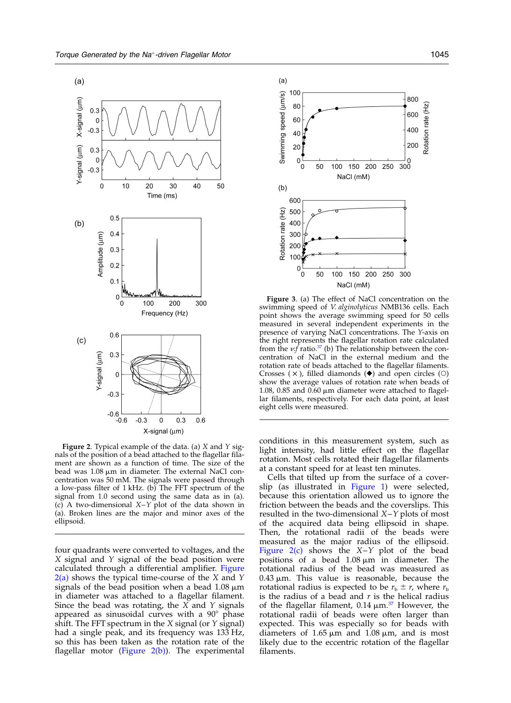<span id="page-2-0"></span>

**Figure 2.** Typical example of the data. (a)  $X$  and  $Y$  signals of the position of a bead attached to the flagellar filament are shown as a function of time. The size of the bead was 1.08  $\mu$ m in diameter. The external NaCl concentration was 50 mM. The signals were passed through a low-pass filter of 1 kHz. (b) The FFT spectrum of the signal from 1.0 second using the same data as in (a). (c) A two-dimensional  $X-Y$  plot of the data shown in (a). Broken lines are the major and minor axes of the ellipsoid.

four quadrants were converted to voltages, and the X signal and Y signal of the bead position were calculated through a differential amplifier. Figure  $2(a)$  shows the typical time-course of the X and Y signals of the bead position when a bead  $1.08 \mu m$ in diameter was attached to a flagellar filament. Since the bead was rotating, the  $X$  and  $Y$  signals appeared as sinusoidal curves with a  $90^{\circ}$  phase shift. The FFT spectrum in the  $X$  signal (or  $Y$  signal) had a single peak, and its frequency was 133 Hz, so this has been taken as the rotation rate of the flagellar motor (Figure  $2(b)$ ). The experimental



Figure 3. (a) The effect of NaCl concentration on the swimming speed of V. alginolyticus NMB136 cells. Each point shows the average swimming speed for 50 cells measured in several independent experiments in the presence of varying NaCl concentrations. The Y-axis on the right represents the flagellar rotation rate calculated from the  $v:$  ratio.<sup>[37](#page-8-0)</sup> (b) The relationship between the concentration of NaCl in the external medium and the rotation rate of beads attached to the flagellar filaments. Crosses  $(x)$ , filled diamonds  $(\blacklozenge)$  and open circles  $(0)$ show the average values of rotation rate when beads of 1.08, 0.85 and 0.60  $\mu$ m diameter were attached to flagellar filaments, respectively. For each data point, at least eight cells were measured.

conditions in this measurement system, such as light intensity, had little effect on the flagellar rotation. Most cells rotated their flagellar filaments at a constant speed for at least ten minutes.

Cells that tilted up from the surface of a coverslip (as illustrated in [Figure 1](#page-1-0)) were selected, because this orientation allowed us to ignore the friction between the beads and the coverslips. This resulted in the two-dimensional  $X-Y$  plots of most of the acquired data being ellipsoid in shape. Then, the rotational radii of the beads were measured as the major radius of the ellipsoid. Figure 2(c) shows the  $X-Y$  plot of the bead positions of a bead  $1.08 \mu m$  in diameter. The rotational radius of the bead was measured as  $0.43 \mu m$ . This value is reasonable, because the rotational radius is expected to be  $r_b \pm r$ , where  $r_b$ is the radius of a bead and  $r$  is the helical radius of the flagellar filament,  $0.14 \mu m^{37}$  $0.14 \mu m^{37}$  $0.14 \mu m^{37}$  However, the rotational radii of beads were often larger than expected. This was especially so for beads with diameters of  $1.65 \mu m$  and  $1.08 \mu m$ , and is most likely due to the eccentric rotation of the flagellar filaments.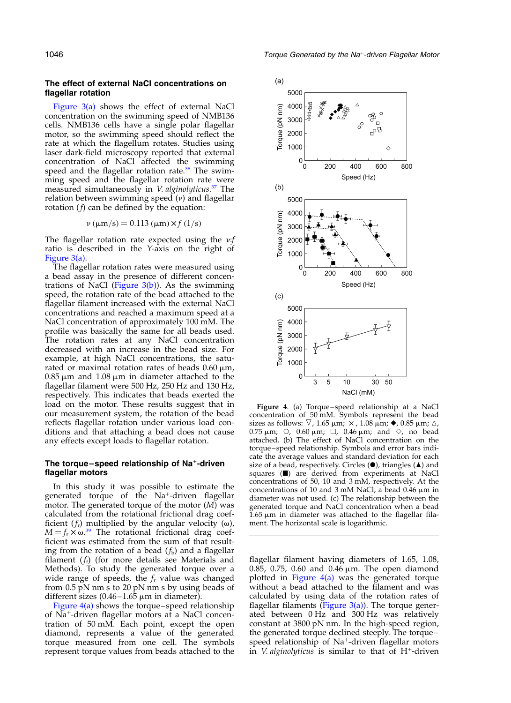<span id="page-3-0"></span>The effect of external NaCl concentrations on flagellar rotation

[Figure 3\(a\)](#page-2-0) shows the effect of external NaCl concentration on the swimming speed of NMB136 cells. NMB136 cells have a single polar flagellar motor, so the swimming speed should reflect the rate at which the flagellum rotates. Studies using laser dark-field microscopy reported that external concentration of NaCl affected the swimming speed and the flagellar rotation rate.<sup>[38](#page-8-0)</sup> The swimming speed and the flagellar rotation rate were measured simultaneously in V. alginolyticus.<sup>[37](#page-8-0)</sup> The relation between swimming speed  $(v)$  and flagellar rotation  $(f)$  can be defined by the equation:

$$
\nu \, (\mu m/s) = 0.113 \, (\mu m) \times f \, (1/s)
$$

The flagellar rotation rate expected using the  $v.f$ ratio is described in the Y-axis on the right of [Figure 3\(a\).](#page-2-0)

The flagellar rotation rates were measured using a bead assay in the presence of different concentrations of NaCl (Figure  $3(b)$ ). As the swimming speed, the rotation rate of the bead attached to the flagellar filament increased with the external NaCl concentrations and reached a maximum speed at a NaCl concentration of approximately 100 mM. The profile was basically the same for all beads used. The rotation rates at any NaCl concentration decreased with an increase in the bead size. For example, at high NaCl concentrations, the saturated or maximal rotation rates of beads  $0.60 \mu m$ ,  $0.85 \mu m$  and  $1.08 \mu m$  in diameter attached to the flagellar filament were 500 Hz, 250 Hz and 130 Hz, respectively. This indicates that beads exerted the load on the motor. These results suggest that in our measurement system, the rotation of the bead reflects flagellar rotation under various load conditions and that attaching a bead does not cause any effects except loads to flagellar rotation.

### The torque–speed relationship of  $Na^+$ -driven flagellar motors

In this study it was possible to estimate the generated torque of the Na<sup>+</sup>-driven flagellar motor. The generated torque of the motor (M) was calculated from the rotational frictional drag coefficient ( $f_r$ ) multiplied by the angular velocity ( $\omega$ ),  $M = f_{\rm r} \times \omega^{39}$  $M = f_{\rm r} \times \omega^{39}$  $M = f_{\rm r} \times \omega^{39}$  The rotational frictional drag coefficient was estimated from the sum of that resulting from the rotation of a bead  $(f_b)$  and a flagellar filament  $(f_i)$  (for more details see Materials and Methods). To study the generated torque over a wide range of speeds, the  $f_r$  value was changed from 0.5 pN nm s to 20 pN nm s by using beads of different sizes  $(0.46 - 1.65 \mu m)$  in diameter).

Figure 4(a) shows the torque–speed relationship of Na<sup>+</sup>-driven flagellar motors at a NaCl concentration of 50 mM. Each point, except the open diamond, represents a value of the generated torque measured from one cell. The symbols represent torque values from beads attached to the



Figure 4. (a) Torque–speed relationship at a NaCl concentration of 50 mM. Symbols represent the bead sizes as follows:  $\nabla$ , 1.65  $\mu$ m;  $\times$ , 1.08  $\mu$ m;  $\blacklozenge$ , 0.85  $\mu$ m;  $\triangle$ , 0.75  $\mu$ m;  $\circ$ , 0.60  $\mu$ m;  $\Box$ , 0.46  $\mu$ m; and  $\diamond$ , no bead attached. (b) The effect of NaCl concentration on the torque–speed relationship. Symbols and error bars indicate the average values and standard deviation for each size of a bead, respectively. Circles  $(\bullet)$ , triangles  $(\blacktriangle)$  and squares ( $\blacksquare$ ) are derived from experiments at NaCl concentrations of 50, 10 and 3 mM, respectively. At the concentrations of 10 and 3 mM NaCl, a bead  $0.46 \mu m$  in diameter was not used. (c) The relationship between the generated torque and NaCl concentration when a bead  $1.65 \mu m$  in diameter was attached to the flagellar filament. The horizontal scale is logarithmic.

flagellar filament having diameters of 1.65, 1.08, 0.85, 0.75, 0.60 and 0.46  $\mu$ m. The open diamond plotted in Figure  $4(a)$  was the generated torque without a bead attached to the filament and was calculated by using data of the rotation rates of flagellar filaments (Figure  $3(a)$ ). The torque generated between 0 Hz and 300 Hz was relatively constant at 3800 pN nm. In the high-speed region, the generated torque declined steeply. The torque– speed relationship of  $Na^+$ -driven flagellar motors in *V. alginolyticus* is similar to that of  $H^+$ -driven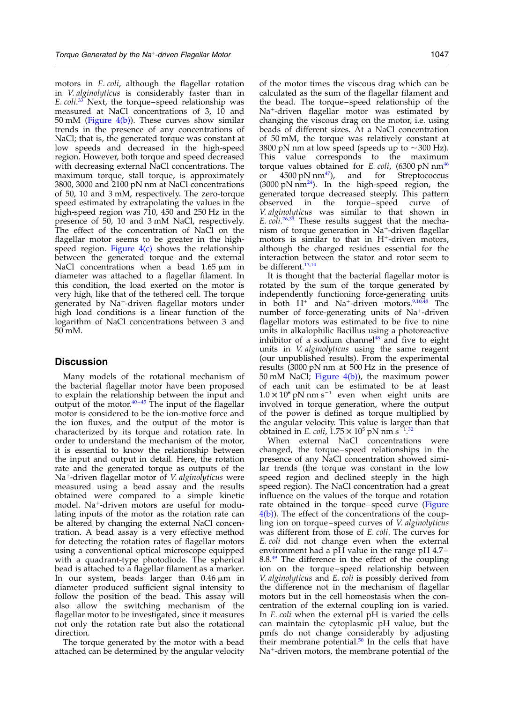motors in E. coli, although the flagellar rotation in V. alginolyticus is considerably faster than in E. coli.<sup>[33](#page-8-0)</sup> Next, the torque–speed relationship was measured at NaCl concentrations of 3, 10 and 50 mM [\(Figure 4\(b\)](#page-3-0)). These curves show similar trends in the presence of any concentrations of NaCl; that is, the generated torque was constant at low speeds and decreased in the high-speed region. However, both torque and speed decreased with decreasing external NaCl concentrations. The maximum torque, stall torque, is approximately 3800, 3000 and 2100 pN nm at NaCl concentrations of 50, 10 and 3 mM, respectively. The zero-torque speed estimated by extrapolating the values in the high-speed region was 710, 450 and 250 Hz in the presence of 50, 10 and 3 mM NaCl, respectively. The effect of the concentration of NaCl on the flagellar motor seems to be greater in the highspeed region. Figure  $4(c)$  shows the relationship between the generated torque and the external NaCl concentrations when a bead  $1.65 \mu m$  in diameter was attached to a flagellar filament. In this condition, the load exerted on the motor is very high, like that of the tethered cell. The torque generated by Na<sup>+</sup>-driven flagellar motors under high load conditions is a linear function of the logarithm of NaCl concentrations between 3 and 50 mM.

## **Discussion**

Many models of the rotational mechanism of the bacterial flagellar motor have been proposed to explain the relationship between the input and output of the motor. $40 - 45$  The input of the flagellar motor is considered to be the ion-motive force and the ion fluxes, and the output of the motor is characterized by its torque and rotation rate. In order to understand the mechanism of the motor, it is essential to know the relationship between the input and output in detail. Here, the rotation rate and the generated torque as outputs of the Na<sup>+</sup>-driven flagellar motor of V. alginolyticus were measured using a bead assay and the results obtained were compared to a simple kinetic model. Na<sup>+</sup>-driven motors are useful for modulating inputs of the motor as the rotation rate can be altered by changing the external NaCl concentration. A bead assay is a very effective method for detecting the rotation rates of flagellar motors using a conventional optical microscope equipped with a quadrant-type photodiode. The spherical bead is attached to a flagellar filament as a marker. In our system, beads larger than  $0.46 \mu m$  in diameter produced sufficient signal intensity to follow the position of the bead. This assay will also allow the switching mechanism of the flagellar motor to be investigated, since it measures not only the rotation rate but also the rotational direction.

The torque generated by the motor with a bead attached can be determined by the angular velocity of the motor times the viscous drag which can be calculated as the sum of the flagellar filament and the bead. The torque–speed relationship of the Na<sup>+</sup>-driven flagellar motor was estimated by changing the viscous drag on the motor, i.e. using beads of different sizes. At a NaCl concentration of 50 mM, the torque was relatively constant at 3800 pN nm at low speed (speeds up to  $\sim$  300 Hz). This value corresponds to the maximum torque values obtained for E. coli,  $(6300 \text{ pN nm}^{46})$  $(6300 \text{ pN nm}^{46})$  $(6300 \text{ pN nm}^{46})$ or  $4500 \text{ pN nm}^{47}$ , and for Streptococcus  $(3000 \text{ pN nm}^{24})$  $(3000 \text{ pN nm}^{24})$  $(3000 \text{ pN nm}^{24})$ . In the high-speed region, the generated torque decreased steeply. This pattern observed in the torque–speed curve of V. alginolyticus was similar to that shown in E. coli.<sup>[26,33](#page-7-0)</sup> These results suggest that the mechanism of torque generation in  $Na<sup>+</sup>$ -driven flagellar motors is similar to that in  $H^+$ -driven motors, although the charged residues essential for the interaction between the stator and rotor seem to be different.<sup>[13,14](#page-7-0)</sup>

It is thought that the bacterial flagellar motor is rotated by the sum of the torque generated by independently functioning force-generating units in both  $H^+$  and Na<sup>+</sup>-driven motors.<sup>[9,10,48](#page-7-0)</sup> The number of force-generating units of Na<sup>+</sup>-driven flagellar motors was estimated to be five to nine units in alkalophilic Bacillus using a photoreactive inhibitor of a sodium channel<sup>[48](#page-8-0)</sup> and five to eight units in V. alginolyticus using the same reagent (our unpublished results). From the experimental results (3000 pN nm at 500 Hz in the presence of 50 mM NaCl; [Figure 4\(b\)\)](#page-3-0), the maximum power of each unit can be estimated to be at least  $1.0 \times 10^6$  pN nm s<sup>-1</sup> even when eight units are involved in torque generation, where the output of the power is defined as torque multiplied by the angular velocity. This value is larger than that obtained in *E. coli*,  $1.75 \times 10^5$  pN nm s<sup>-1</sup>.<sup>[32](#page-8-0)</sup>

When external NaCl concentrations were changed, the torque–speed relationships in the presence of any NaCl concentration showed similar trends (the torque was constant in the low speed region and declined steeply in the high speed region). The NaCl concentration had a great influence on the values of the torque and rotation rate obtained in the torque–speed curve [\(Figure](#page-3-0)  $4(b)$ ). The effect of the concentrations of the coupling ion on torque–speed curves of V. alginolyticus was different from those of E. coli. The curves for E. coli did not change even when the external environment had a pH value in the range pH 4.7– 8.8.[49](#page-8-0) The difference in the effect of the coupling ion on the torque–speed relationship between V. alginolyticus and E. coli is possibly derived from the difference not in the mechanism of flagellar motors but in the cell homeostasis when the concentration of the external coupling ion is varied. In E. coli when the external pH is varied the cells can maintain the cytoplasmic pH value, but the pmfs do not change considerably by adjusting their membrane potential. $50$  In the cells that have  $Na<sup>+</sup>$ -driven motors, the membrane potential of the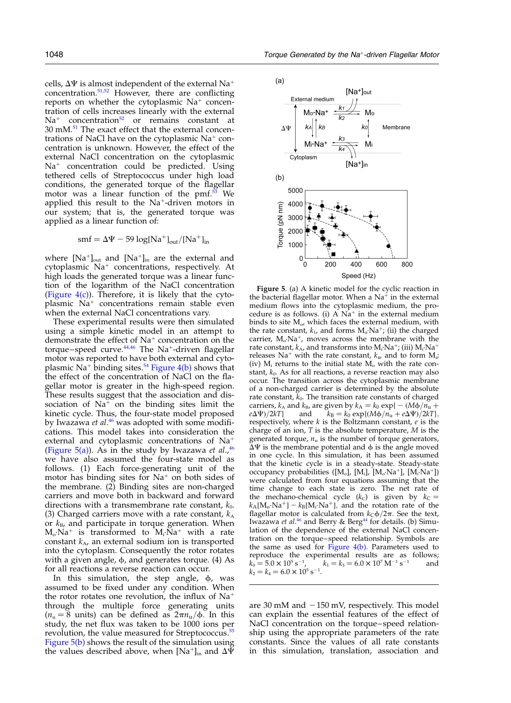cells,  $\Delta \Psi$  is almost independent of the external Na<sup>+</sup> concentration.[51,52](#page-8-0) However, there are conflicting reports on whether the cytoplasmic  $Na<sup>+</sup>$  concentration of cells increases linearly with the external  $Na<sup>+</sup>$  concentration<sup>[52](#page-8-0)</sup> or remains constant at 30 mM.[51](#page-8-0) The exact effect that the external concentrations of NaCl have on the cytoplasmic  $Na<sup>+</sup>$  concentration is unknown. However, the effect of the external NaCl concentration on the cytoplasmic  $Na<sup>+</sup>$  concentration could be predicted. Using tethered cells of Streptococcus under high load conditions, the generated torque of the flagellar motor was a linear function of the pmf.<sup>53</sup> We applied this result to the  $Na<sup>+</sup>$ -driven motors in our system; that is, the generated torque was applied as a linear function of:

$$
smf=\Delta\Psi-59\;log[Na^+]_{out}/[Na^+]_{in}
$$

where  $[Na^+]_{out}$  and  $[Na^+]_{in}$  are the external and cytoplasmic  $Na<sup>+</sup>$  concentrations, respectively. At high loads the generated torque was a linear function of the logarithm of the NaCl concentration (Figure  $4(c)$ ). Therefore, it is likely that the cytoplasmic  $Na<sup>+</sup>$  concentrations remain stable even when the external NaCl concentrations vary.

These experimental results were then simulated using a simple kinetic model in an attempt to demonstrate the effect of  $Na<sup>+</sup>$  concentration on the torque–speed curve. $44,46$  The Na<sup>+</sup>-driven flagellar motor was reported to have both external and cyto-plasmic Na<sup>+</sup> binding sites.<sup>[54](#page-8-0)</sup> [Figure 4\(b\)](#page-3-0) shows that the effect of the concentration of NaCl on the flagellar motor is greater in the high-speed region. These results suggest that the association and dissociation of  $Na<sup>+</sup>$  on the binding sites limit the kinetic cycle. Thus, the four-state model proposed by Iwazawa et al.<sup>[46](#page-8-0)</sup> was adopted with some modifications. This model takes into consideration the external and cytoplasmic concentrations of  $Na<sup>+</sup>$ (Figure 5(a)). As in the study by Iwazawa et al., $46$ we have also assumed the four-state model as follows. (1) Each force-generating unit of the motor has binding sites for  $Na<sup>+</sup>$  on both sides of the membrane. (2) Binding sites are non-charged carriers and move both in backward and forward directions with a transmembrane rate constant,  $k_0$ . (3) Charged carriers move with a rate constant,  $k_A$ or  $k_B$ , and participate in torque generation. When  $M_o$ ·Na<sup>+</sup> is transformed to  $M_i$ ·Na<sup>+</sup> with a rate constant  $k_A$ , an external sodium ion is transported into the cytoplasm. Consequently the rotor rotates with a given angle,  $\phi$ , and generates torque. (4) As for all reactions a reverse reaction can occur.

In this simulation, the step angle,  $\phi$ , was assumed to be fixed under any condition. When the rotor rotates one revolution, the influx of  $Na<sup>+</sup>$ through the multiple force generating units  $(n_{\rm u} = 8 \text{ units})$  can be defined as  $2\pi n_{\rm u}/\phi$ . In this study, the net flux was taken to be 1000 ions per revolution, the value measured for Streptococcus.<sup>[55](#page-8-0)</sup> Figure 5(b) shows the result of the simulation using the values described above, when [Na<sup>+</sup>]<sub>in</sub> and  $\Delta \Psi$ 



Figure 5. (a) A kinetic model for the cyclic reaction in the bacterial flagellar motor. When a  $Na<sup>+</sup>$  in the external medium flows into the cytoplasmic medium, the procedure is as follows. (i)  $\overrightarrow{A}$  Na<sup>+</sup> in the external medium binds to site  $M_{o}$ , which faces the external medium, with the rate constant,  $k_1$ , and forms  $M_0$ ·Na<sup>+</sup>; (ii) the charged carrier,  $M_o$ ·Na<sup>+</sup>, moves across the membrane with the rate constant,  $k_{A}$ , and transforms into  $M_i$ ·Na<sup>+</sup>; (iii)  $M_i$ ·Na<sup>+</sup> releases Na<sup>+</sup> with the rate constant,  $k_4$ , and to form M<sub>i</sub>; (iv)  $M_i$  returns to the initial state  $M_0$  with the rate constant,  $k_0$ . As for all reactions, a reverse reaction may also occur. The transition across the cytoplasmic membrane of a non-charged carrier is determined by the absolute rate constant,  $\bar{k}_0$ . The transition rate constants of charged carriers,  $k_A$  and  $k_B$ , are given by  $k_A = k_0 \exp\{-\left(\frac{M\phi}{n_u} + \frac{e\Delta\Psi}{2kT}\right)\}$  and  $k_B = k_0 \exp\{\left(\frac{M\phi}{n_u} + \frac{e\Delta\Psi}{2kT}\right\}$ .  $k_{\text{B}}=k_0 \exp\{(M\phi/n_{\text{u}}+e\Delta\Psi)/2kT\},\$ respectively, where  $k$  is the Boltzmann constant,  $e$  is the charge of an ion,  $T$  is the absolute temperature,  $M$  is the generated torque,  $n_u$  is the number of torque generators,  $\overline{\Delta \Psi}$  is the membrane potential and  $\phi$  is the angle moved in one cycle. In this simulation, it has been assumed that the kinetic cycle is in a steady-state. Steady-state occupancy probabilities ( $[M_o]$ ,  $[M_i]$ ,  $[M_o \cdot Na^+]$ ,  $[M_i \cdot Na^+]$ ) were calculated from four equations assuming that the time change to each state is zero. The net rate of the mechano-chemical cycle  $(k_c)$  is given by  $k_c =$  $k_A$ [M<sub>o</sub>·Na<sup>+</sup>] –  $k_B$ [M<sub>i</sub>·Na<sup>+</sup>], and the rotation rate of the flagellar motor is calculated from  $k_{\text{C}}\phi/2\pi$ . See the text, Iwazawa et al.<sup>[46](#page-8-0)</sup> and Berry & Berg<sup>[44](#page-8-0)</sup> for details. (b) Simulation of the dependence of the external NaCl concentration on the torque–speed relationship. Symbols are the same as used for  $\overrightarrow{Figure 4(b)}$ . Parameters used to reproduce the experimental results are as follows;  $k_0 = 5.0 \times 10^5 \,\mathrm{s}^{-1}$ ,  $k_1 = k_3 = 6.0 \times 10^7 \,\mathrm{M}^{-1} \,\mathrm{s}^{-1}$  and  $k_2 = k_4 = 6.0 \times 10^5 \,\mathrm{s}^{-1}.$ 

are 30 mM and  $-150$  mV, respectively. This model can explain the essential features of the effect of NaCl concentration on the torque–speed relationship using the appropriate parameters of the rate constants. Since the values of all rate constants in this simulation, translation, association and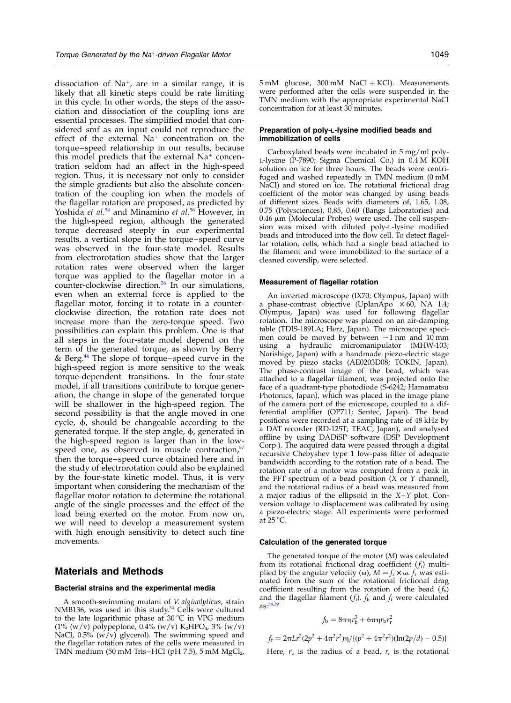dissociation of  $Na^{+}$ , are in a similar range, it is likely that all kinetic steps could be rate limiting in this cycle. In other words, the steps of the association and dissociation of the coupling ions are essential processes. The simplified model that considered smf as an input could not reproduce the effect of the external  $Na^+$  concentration on the torque–speed relationship in our results, because this model predicts that the external  $Na<sup>+</sup>$  concentration seldom had an affect in the high-speed region. Thus, it is necessary not only to consider the simple gradients but also the absolute concentration of the coupling ion when the models of the flagellar rotation are proposed, as predicted by Yoshida et al.<sup>[54](#page-8-0)</sup> and Minamino et al.<sup>[56](#page-8-0)</sup> However, in the high-speed region, although the generated torque decreased steeply in our experimental results, a vertical slope in the torque–speed curve was observed in the four-state model. Results from electrorotation studies show that the larger rotation rates were observed when the larger torque was applied to the flagellar motor in a counter-clockwise direction.[26](#page-7-0) In our simulations, even when an external force is applied to the flagellar motor, forcing it to rotate in a counterclockwise direction, the rotation rate does not increase more than the zero-torque speed. Two possibilities can explain this problem. One is that all steps in the four-state model depend on the term of the generated torque, as shown by Berry & Berg[.44](#page-8-0) The slope of torque–speed curve in the high-speed region is more sensitive to the weak torque-dependent transitions. In the four-state model, if all transitions contribute to torque generation, the change in slope of the generated torque will be shallower in the high-speed region. The second possibility is that the angle moved in one cycle,  $\phi$ , should be changeable according to the generated torque. If the step angle,  $\phi$ , generated in the high-speed region is larger than in the low-speed one, as observed in muscle contraction,<sup>[57](#page-8-0)</sup> then the torque–speed curve obtained here and in the study of electrorotation could also be explained by the four-state kinetic model. Thus, it is very important when considering the mechanism of the flagellar motor rotation to determine the rotational angle of the single processes and the effect of the load being exerted on the motor. From now on, we will need to develop a measurement system with high enough sensitivity to detect such fine movements.

## Materials and Methods

#### Bacterial strains and the experimental media

A smooth-swimming mutant of V. alginolyticus, strain NMB136, was used in this study.<sup>[34](#page-8-0)</sup> Cells were cultured to the late logarithmic phase at  $30^{\circ}$ C in VPG medium (1% (w/v) polypeptone, 0.4% (w/v) K2HPO4, 3% (w/v) NaCl,  $0.5\%$  (w/v) glycerol). The swimming speed and the flagellar rotation rates of the cells were measured in TMN medium (50 mM Tris–HCl (pH 7.5), 5 mM  $MgCl<sub>2</sub>$ ,  $5 \text{ mM}$  glucose,  $300 \text{ mM}$  NaCl + KCl). Measurements were performed after the cells were suspended in the TMN medium with the appropriate experimental NaCl concentration for at least 30 minutes.

#### Preparation of poly-L-lysine modified beads and immobilization of cells

Carboxylated beads were incubated in 5 mg/ml poly-L-lysine (P-7890; Sigma Chemical Co.) in 0.4 M KOH solution on ice for three hours. The beads were centrifuged and washed repeatedly in TMN medium (0 mM NaCl) and stored on ice. The rotational frictional drag coefficient of the motor was changed by using beads of different sizes. Beads with diameters of, 1.65, 1.08, 0.75 (Polysciences), 0.85, 0.60 (Bangs Laboratories) and  $0.46 \mu m$  (Molecular Probes) were used. The cell suspension was mixed with diluted poly-L-lysine modified beads and introduced into the flow cell. To detect flagellar rotation, cells, which had a single bead attached to the filament and were immobilized to the surface of a cleaned coverslip, were selected.

#### Measurement of flagellar rotation

An inverted microscope (IX70; Olympus, Japan) with a phase-contrast objective (UplanApo  $\times 60$ , NA 1.4; Olympus, Japan) was used for following flagellar rotation. The microscope was placed on an air-damping table (TDIS-189LA; Herz, Japan). The microscope specimen could be moved by between  $\sim$ 1 nm and 10 mm using a hydraulic micromanipulator (MHW-103; Narishige, Japan) with a handmade piezo-electric stage moved by piezo stacks (AE0203D08; TOKIN, Japan). The phase-contrast image of the bead, which was attached to a flagellar filament, was projected onto the face of a quadrant-type photodiode (S-6242; Hamamatsu Photonics, Japan), which was placed in the image plane of the camera port of the microscope, coupled to a differential amplifier (OP711; Sentec, Japan). The bead positions were recorded at a sampling rate of 48 kHz by a DAT recorder (RD-125T; TEAC, Japan), and analysed offline by using DADiSP software (DSP Development Corp.). The acquired data were passed through a digital recursive Chebyshev type 1 low-pass filter of adequate bandwidth according to the rotation rate of a bead. The rotation rate of a motor was computed from a peak in the FFT spectrum of a bead position  $(X \text{ or } Y \text{ channel})$ , and the rotational radius of a bead was measured from a major radius of the ellipsoid in the X–Y plot. Conversion voltage to displacement was calibrated by using a piezo-electric stage. All experiments were performed at  $25^{\circ}$ C.

#### Calculation of the generated torque

The generated torque of the motor (M) was calculated from its rotational frictional drag coefficient  $(f_r)$  multiplied by the angular velocity ( $\omega$ ),  $M = f_r \times \omega$ .  $f_r$  was estimated from the sum of the rotational frictional drag coefficient resulting from the rotation of the bead  $(f<sub>b</sub>)$ and the flagellar filament  $(f_f)$ .  $f_b$  and  $f_f$  were calculated  $as:38$ 

$$
f_b=8\pi\eta r_b^3+6\pi\eta r_b r_r^2
$$

$$
f_{\rm f} = 2\pi L r^2 (2p^2 + 4\pi^2 r^2) \eta / \{ (p^2 + 4\pi^2 r^2)(\ln(2p/d) - 0.5) \}
$$

Here,  $r<sub>b</sub>$  is the radius of a bead,  $r<sub>r</sub>$  is the rotational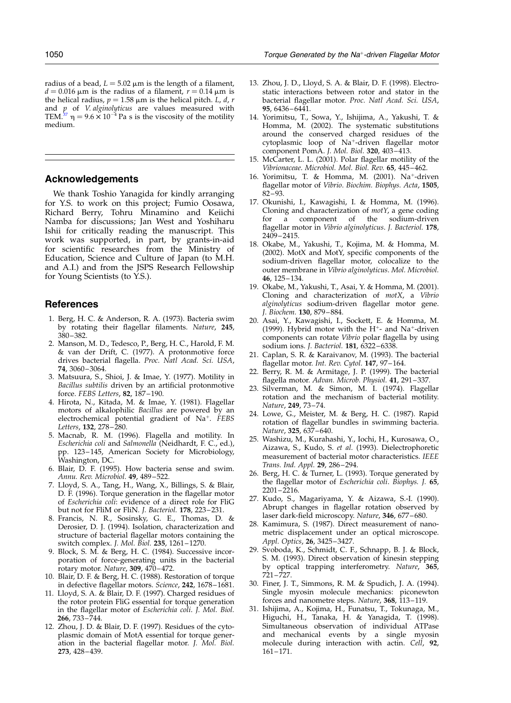<span id="page-7-0"></span>radius of a bead,  $L = 5.02 \mu m$  is the length of a filament,  $d = 0.016 \mu m$  is the radius of a filament,  $r = 0.14 \mu m$  is the helical radius,  $p = 1.58 \mu m$  is the helical pitch. *L*, *d*, *r* and  $p$  of *V. alginolyticus* are values measured with TEM.<sup>[37](#page-8-0)</sup>  $\eta = 9.6 \times 10^{-4}$  Pa s is the viscosity of the motility medium.

# Acknowledgements

We thank Toshio Yanagida for kindly arranging for Y.S. to work on this project; Fumio Oosawa, Richard Berry, Tohru Minamino and Keiichi Namba for discussions; Jan West and Yoshiharu Ishii for critically reading the manuscript. This work was supported, in part, by grants-in-aid for scientific researches from the Ministry of Education, Science and Culture of Japan (to M.H. and A.I.) and from the JSPS Research Fellowship for Young Scientists (to Y.S.).

# **References**

- 1. Berg, H. C. & Anderson, R. A. (1973). Bacteria swim by rotating their flagellar filaments. Nature, 245, 380–382.
- 2. Manson, M. D., Tedesco, P., Berg, H. C., Harold, F. M. & van der Drift, C. (1977). A protonmotive force drives bacterial flagella. Proc. Natl Acad. Sci. USA, 74, 3060–3064.
- 3. Matsuura, S., Shioi, J. & Imae, Y. (1977). Motility in Bacillus subtilis driven by an artificial protonmotive force. FEBS Letters, 82, 187–190.
- 4. Hirota, N., Kitada, M. & Imae, Y. (1981). Flagellar motors of alkalophilic Bacillus are powered by an electrochemical potential gradient of Na<sup>+</sup>. FEBS Letters, **132**, 278-280.
- 5. Macnab, R. M. (1996). Flagella and motility. In Escherichia coli and Salmonella (Neidhardt, F. C., ed.), pp. 123–145, American Society for Microbiology, Washington, DC.
- 6. Blair, D. F. (1995). How bacteria sense and swim. Annu. Rev. Microbiol. 49, 489–522.
- 7. Lloyd, S. A., Tang, H., Wang, X., Billings, S. & Blair, D. F. (1996). Torque generation in the flagellar motor of Escherichia coli: evidence of a direct role for FliG but not for FliM or FliN. J. Bacteriol. 178, 223–231.
- 8. Francis, N. R., Sosinsky, G. E., Thomas, D. & Derosier, D. J. (1994). Isolation, characterization and structure of bacterial flagellar motors containing the switch complex. J. Mol. Biol. 235, 1261–1270.
- 9. Block, S. M. & Berg, H. C. (1984). Successive incorporation of force-generating units in the bacterial rotary motor. Nature, 309, 470–472.
- 10. Blair, D. F. & Berg, H. C. (1988). Restoration of torque in defective flagellar motors. Science, 242, 1678–1681.
- 11. Lloyd, S. A. & Blair, D. F. (1997). Charged residues of the rotor protein FliG essential for torque generation in the flagellar motor of Escherichia coli. J. Mol. Biol. 266, 733–744.
- 12. Zhou, J. D. & Blair, D. F. (1997). Residues of the cytoplasmic domain of MotA essential for torque generation in the bacterial flagellar motor. J. Mol. Biol. 273, 428–439.
- 13. Zhou, J. D., Lloyd, S. A. & Blair, D. F. (1998). Electrostatic interactions between rotor and stator in the bacterial flagellar motor. Proc. Natl Acad. Sci. USA, 95, 6436–6441.
- 14. Yorimitsu, T., Sowa, Y., Ishijima, A., Yakushi, T. & Homma, M. (2002). The systematic substitutions around the conserved charged residues of the cytoplasmic loop of Na<sup>+</sup>-driven flagellar motor component PomA. J. Mol. Biol. 320, 403–413.
- 15. McCarter, L. L. (2001). Polar flagellar motility of the Vibrionaceae. Microbiol. Mol. Biol. Rev. 65, 445–462.
- 16. Yorimitsu, T. & Homma, M. (2001). Na<sup>+</sup>-driven flagellar motor of Vibrio. Biochim. Biophys. Acta, 1505, 82–93.
- 17. Okunishi, I., Kawagishi, I. & Homma, M. (1996). Cloning and characterization of motY, a gene coding for a component of the sodium-driven flagellar motor in Vibrio alginolyticus. J. Bacteriol. 178, 2409–2415.
- 18. Okabe, M., Yakushi, T., Kojima, M. & Homma, M. (2002). MotX and MotY, specific components of the sodium-driven flagellar motor, colocalize to the outer membrane in Vibrio alginolyticus. Mol. Microbiol. 46, 125–134.
- 19. Okabe, M., Yakushi, T., Asai, Y. & Homma, M. (2001). Cloning and characterization of motX, a Vibrio alginolyticus sodium-driven flagellar motor gene. J. Biochem. 130, 879–884.
- 20. Asai, Y., Kawagishi, I., Sockett, E. & Homma, M. (1999). Hybrid motor with the  $H^+$ - and Na<sup>+</sup>-driven components can rotate Vibrio polar flagella by using sodium ions. J. Bacteriol. 181, 6322–6338.
- 21. Caplan, S. R. & Karaivanov, M. (1993). The bacterial flagellar motor. Int. Rev. Cytol. 147, 97-164.
- 22. Berry, R. M. & Armitage, J. P. (1999). The bacterial flagella motor. Advan. Microb. Physiol. 41, 291–337.
- 23. Silverman, M. & Simon, M. I. (1974). Flagellar rotation and the mechanism of bacterial motility. Nature, 249, 73–74.
- 24. Lowe, G., Meister, M. & Berg, H. C. (1987). Rapid rotation of flagellar bundles in swimming bacteria. Nature, 325, 637–640.
- 25. Washizu, M., Kurahashi, Y., Iochi, H., Kurosawa, O., Aizawa, S., Kudo, S. et al. (1993). Dielectrophoretic measurement of bacterial motor characteristics. IEEE Trans. Ind. Appl. 29, 286–294.
- 26. Berg, H. C. & Turner, L. (1993). Torque generated by the flagellar motor of Escherichia coli. Biophys. J. 65,  $2201 - 2216$ .
- 27. Kudo, S., Magariyama, Y. & Aizawa, S.-I. (1990). Abrupt changes in flagellar rotation observed by laser dark-field microscopy. Nature, 346, 677–680.
- 28. Kamimura, S. (1987). Direct measurement of nanometric displacement under an optical microscope. Appl. Optics, 26, 3425–3427.
- 29. Svoboda, K., Schmidt, C. F., Schnapp, B. J. & Block, S. M. (1993). Direct observation of kinesin stepping by optical trapping interferometry. Nature, 365, 721–727.
- 30. Finer, J. T., Simmons, R. M. & Spudich, J. A. (1994). Single myosin molecule mechanics: piconewton forces and nanometre steps. Nature, 368, 113-119.
- 31. Ishijima, A., Kojima, H., Funatsu, T., Tokunaga, M., Higuchi, H., Tanaka, H. & Yanagida, T. (1998). Simultaneous observation of individual ATPase and mechanical events by a single myosin molecule during interaction with actin. Cell, 92, 161–171.